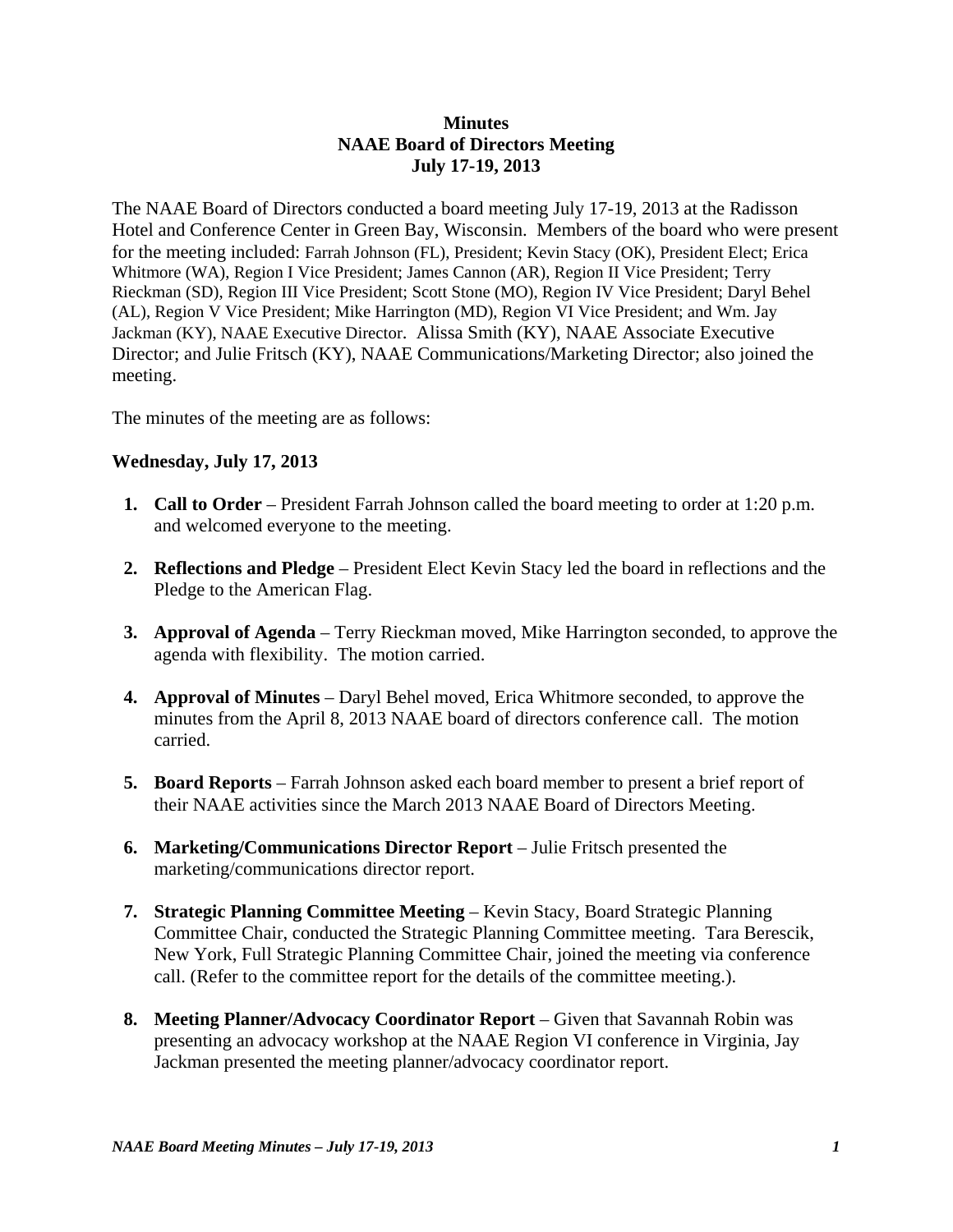# **Minutes NAAE Board of Directors Meeting July 17-19, 2013**

The NAAE Board of Directors conducted a board meeting July 17-19, 2013 at the Radisson Hotel and Conference Center in Green Bay, Wisconsin. Members of the board who were present for the meeting included: Farrah Johnson (FL), President; Kevin Stacy (OK), President Elect; Erica Whitmore (WA), Region I Vice President; James Cannon (AR), Region II Vice President; Terry Rieckman (SD), Region III Vice President; Scott Stone (MO), Region IV Vice President; Daryl Behel (AL), Region V Vice President; Mike Harrington (MD), Region VI Vice President; and Wm. Jay Jackman (KY), NAAE Executive Director. Alissa Smith (KY), NAAE Associate Executive Director; and Julie Fritsch (KY), NAAE Communications/Marketing Director; also joined the meeting.

The minutes of the meeting are as follows:

# **Wednesday, July 17, 2013**

- **1. Call to Order** President Farrah Johnson called the board meeting to order at 1:20 p.m. and welcomed everyone to the meeting.
- **2. Reflections and Pledge** President Elect Kevin Stacy led the board in reflections and the Pledge to the American Flag.
- **3. Approval of Agenda** Terry Rieckman moved, Mike Harrington seconded, to approve the agenda with flexibility. The motion carried.
- **4. Approval of Minutes**  Daryl Behel moved, Erica Whitmore seconded, to approve the minutes from the April 8, 2013 NAAE board of directors conference call. The motion carried.
- **5. Board Reports**  Farrah Johnson asked each board member to present a brief report of their NAAE activities since the March 2013 NAAE Board of Directors Meeting.
- **6. Marketing/Communications Director Report** Julie Fritsch presented the marketing/communications director report.
- **7. Strategic Planning Committee Meeting Kevin Stacy, Board Strategic Planning** Committee Chair, conducted the Strategic Planning Committee meeting. Tara Berescik, New York, Full Strategic Planning Committee Chair, joined the meeting via conference call. (Refer to the committee report for the details of the committee meeting.).
- **8. Meeting Planner/Advocacy Coordinator Report** Given that Savannah Robin was presenting an advocacy workshop at the NAAE Region VI conference in Virginia, Jay Jackman presented the meeting planner/advocacy coordinator report.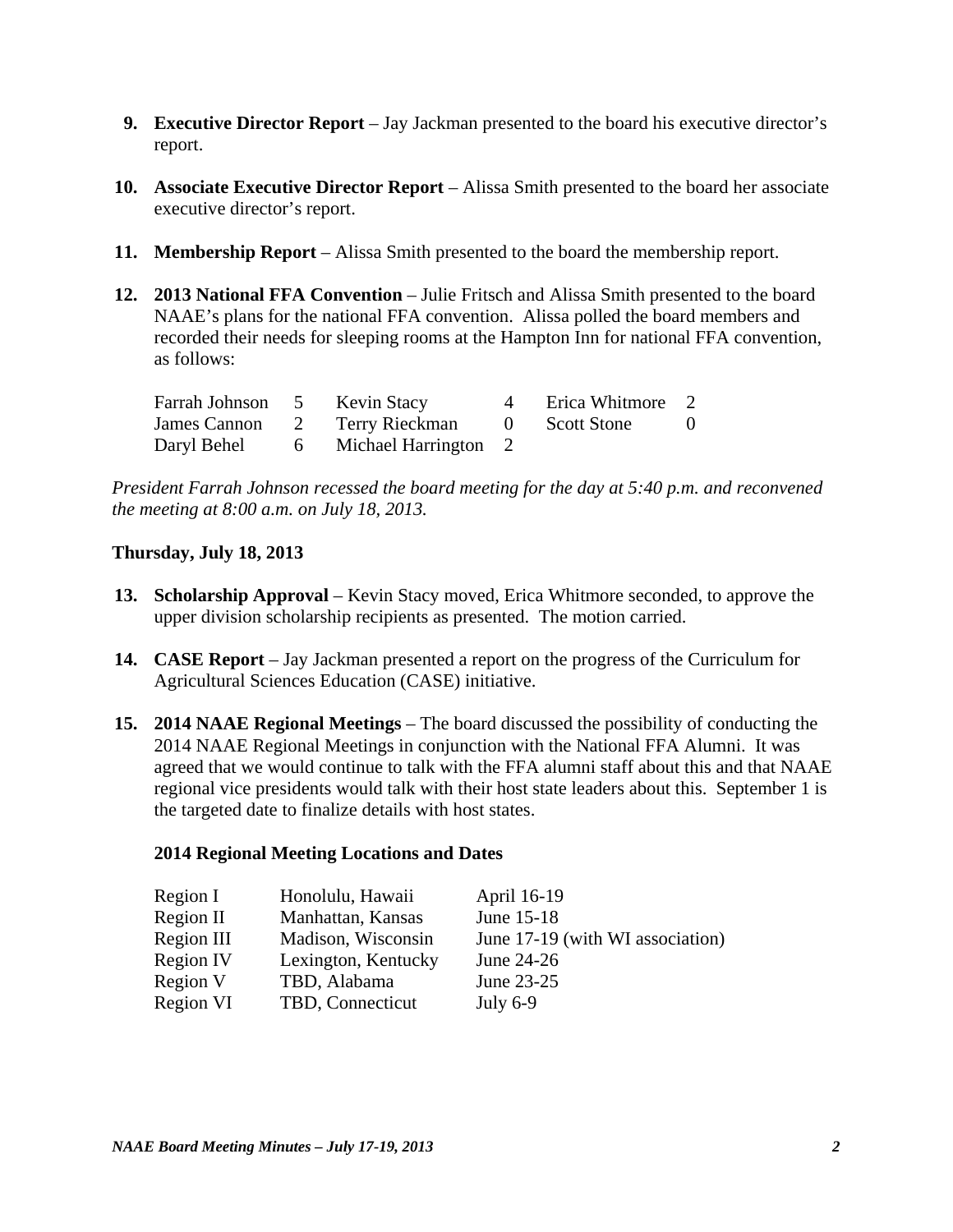- **9. Executive Director Report** Jay Jackman presented to the board his executive director's report.
- **10. Associate Executive Director Report** Alissa Smith presented to the board her associate executive director's report.
- **11. Membership Report** Alissa Smith presented to the board the membership report.
- **12. 2013 National FFA Convention**  Julie Fritsch and Alissa Smith presented to the board NAAE's plans for the national FFA convention. Alissa polled the board members and recorded their needs for sleeping rooms at the Hampton Inn for national FFA convention, as follows:

| Farrah Johnson 5 Kevin Stacy |                                    | 4 | Erica Whitmore 2 |          |
|------------------------------|------------------------------------|---|------------------|----------|
|                              | James Cannon 2 Terry Rieckman      |   | 0 Scott Stone    | $\theta$ |
|                              | Daryl Behel 6 Michael Harrington 2 |   |                  |          |

*President Farrah Johnson recessed the board meeting for the day at 5:40 p.m. and reconvened the meeting at 8:00 a.m. on July 18, 2013.* 

# **Thursday, July 18, 2013**

- **13. Scholarship Approval** Kevin Stacy moved, Erica Whitmore seconded, to approve the upper division scholarship recipients as presented. The motion carried.
- **14. CASE Report** Jay Jackman presented a report on the progress of the Curriculum for Agricultural Sciences Education (CASE) initiative.
- **15. 2014 NAAE Regional Meetings** The board discussed the possibility of conducting the 2014 NAAE Regional Meetings in conjunction with the National FFA Alumni. It was agreed that we would continue to talk with the FFA alumni staff about this and that NAAE regional vice presidents would talk with their host state leaders about this. September 1 is the targeted date to finalize details with host states.

#### **2014 Regional Meeting Locations and Dates**

| Region I   | Honolulu, Hawaii    | April 16-19                      |
|------------|---------------------|----------------------------------|
| Region II  | Manhattan, Kansas   | June 15-18                       |
| Region III | Madison, Wisconsin  | June 17-19 (with WI association) |
| Region IV  | Lexington, Kentucky | June 24-26                       |
| Region V   | TBD, Alabama        | June 23-25                       |
| Region VI  | TBD, Connecticut    | July $6-9$                       |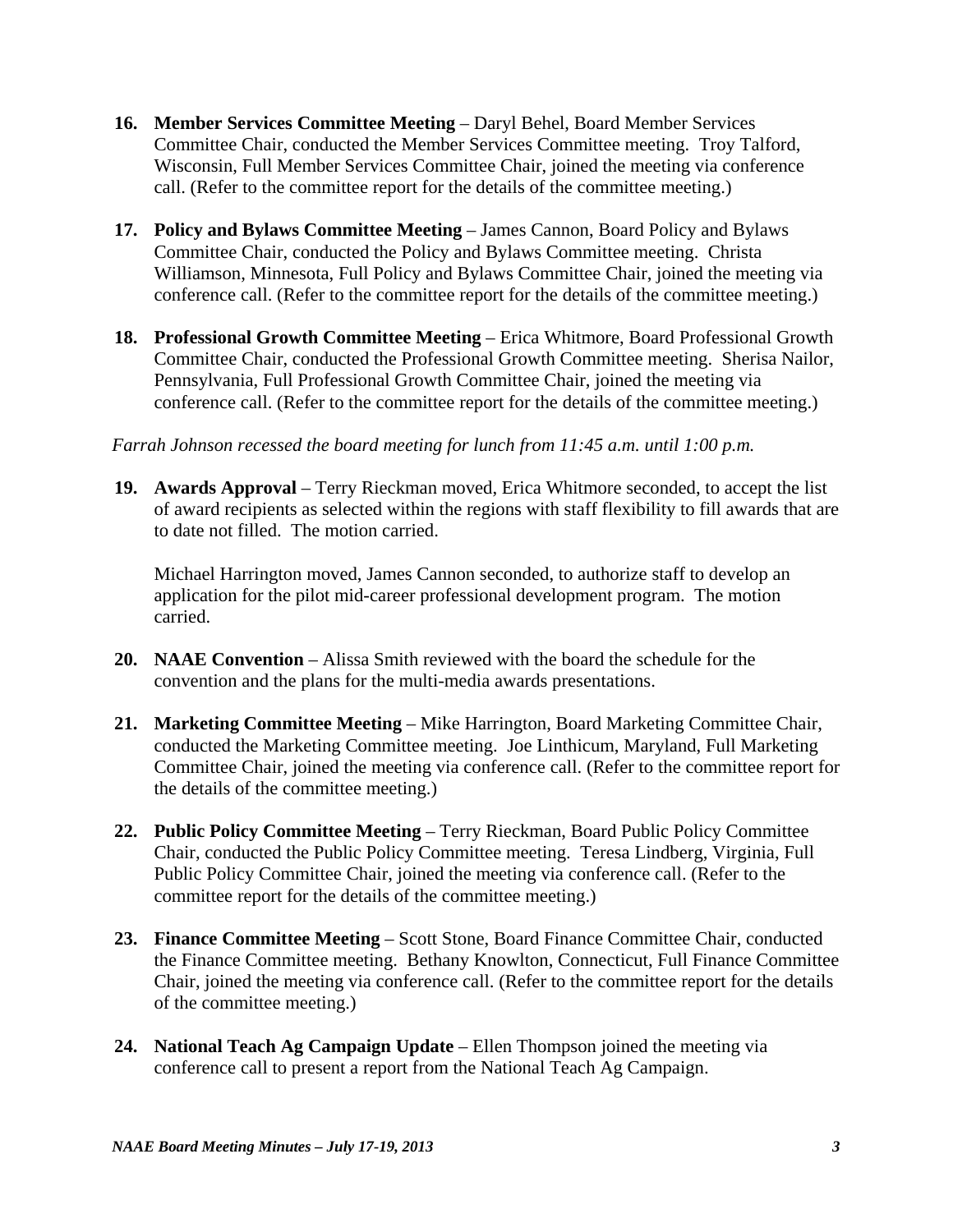- **16. Member Services Committee Meeting**  Daryl Behel, Board Member Services Committee Chair, conducted the Member Services Committee meeting. Troy Talford, Wisconsin, Full Member Services Committee Chair, joined the meeting via conference call. (Refer to the committee report for the details of the committee meeting.)
- **17. Policy and Bylaws Committee Meeting James Cannon, Board Policy and Bylaws** Committee Chair, conducted the Policy and Bylaws Committee meeting. Christa Williamson, Minnesota, Full Policy and Bylaws Committee Chair, joined the meeting via conference call. (Refer to the committee report for the details of the committee meeting.)
- **18. Professional Growth Committee Meeting Erica Whitmore, Board Professional Growth** Committee Chair, conducted the Professional Growth Committee meeting. Sherisa Nailor, Pennsylvania, Full Professional Growth Committee Chair, joined the meeting via conference call. (Refer to the committee report for the details of the committee meeting.)

#### *Farrah Johnson recessed the board meeting for lunch from 11:45 a.m. until 1:00 p.m.*

 **19. Awards Approval** – Terry Rieckman moved, Erica Whitmore seconded, to accept the list of award recipients as selected within the regions with staff flexibility to fill awards that are to date not filled. The motion carried.

 Michael Harrington moved, James Cannon seconded, to authorize staff to develop an application for the pilot mid-career professional development program. The motion carried.

- **20. NAAE Convention** Alissa Smith reviewed with the board the schedule for the convention and the plans for the multi-media awards presentations.
- **21. Marketing Committee Meeting**  Mike Harrington, Board Marketing Committee Chair, conducted the Marketing Committee meeting. Joe Linthicum, Maryland, Full Marketing Committee Chair, joined the meeting via conference call. (Refer to the committee report for the details of the committee meeting.)
- **22. Public Policy Committee Meeting**  Terry Rieckman, Board Public Policy Committee Chair, conducted the Public Policy Committee meeting. Teresa Lindberg, Virginia, Full Public Policy Committee Chair, joined the meeting via conference call. (Refer to the committee report for the details of the committee meeting.)
- **23. Finance Committee Meeting**  Scott Stone, Board Finance Committee Chair, conducted the Finance Committee meeting. Bethany Knowlton, Connecticut, Full Finance Committee Chair, joined the meeting via conference call. (Refer to the committee report for the details of the committee meeting.)
- **24. National Teach Ag Campaign Update** Ellen Thompson joined the meeting via conference call to present a report from the National Teach Ag Campaign.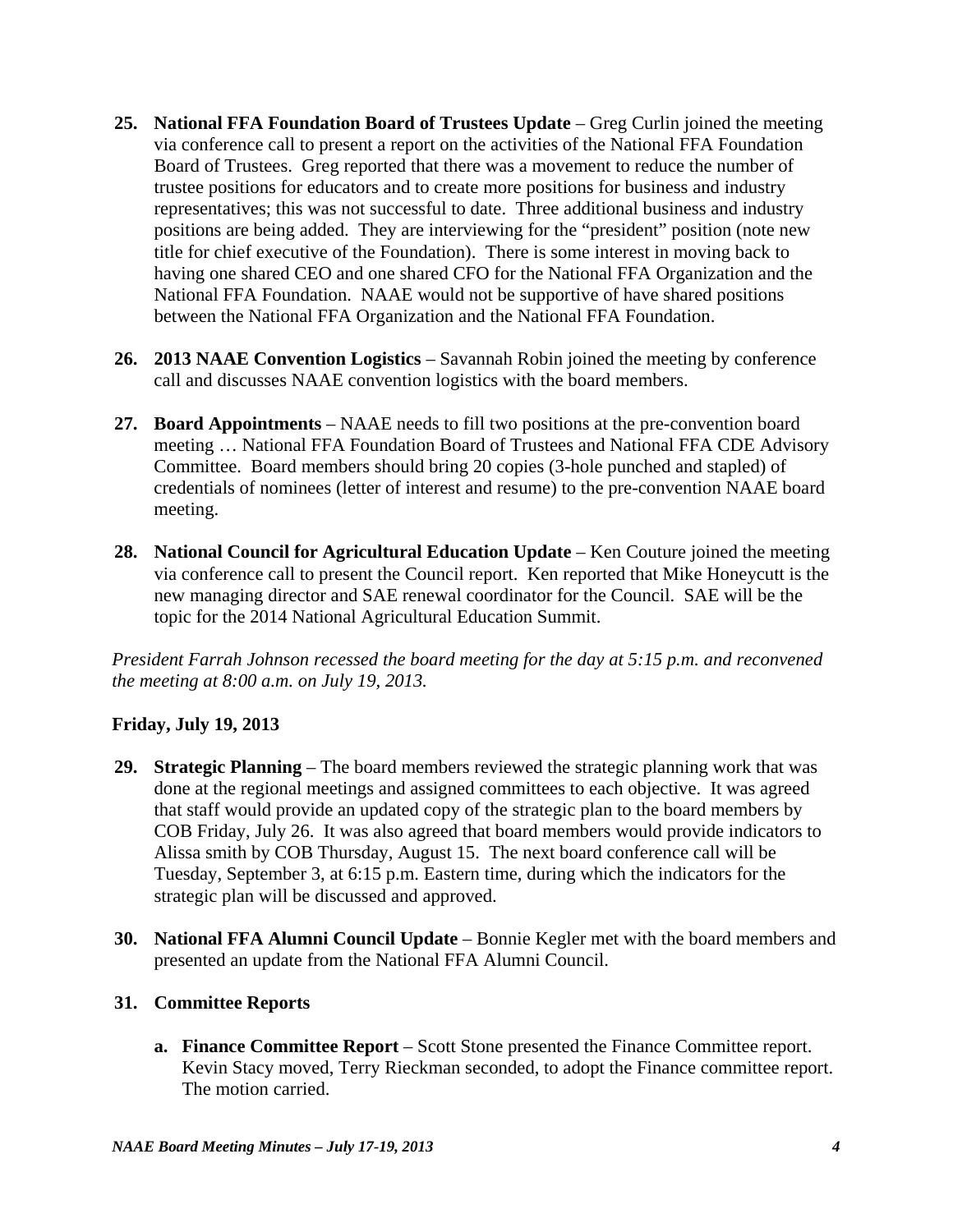- **25. National FFA Foundation Board of Trustees Update** Greg Curlin joined the meeting via conference call to present a report on the activities of the National FFA Foundation Board of Trustees. Greg reported that there was a movement to reduce the number of trustee positions for educators and to create more positions for business and industry representatives; this was not successful to date. Three additional business and industry positions are being added. They are interviewing for the "president" position (note new title for chief executive of the Foundation). There is some interest in moving back to having one shared CEO and one shared CFO for the National FFA Organization and the National FFA Foundation. NAAE would not be supportive of have shared positions between the National FFA Organization and the National FFA Foundation.
- **26. 2013 NAAE Convention Logistics** Savannah Robin joined the meeting by conference call and discusses NAAE convention logistics with the board members.
- **27. Board Appointments** NAAE needs to fill two positions at the pre-convention board meeting … National FFA Foundation Board of Trustees and National FFA CDE Advisory Committee. Board members should bring 20 copies (3-hole punched and stapled) of credentials of nominees (letter of interest and resume) to the pre-convention NAAE board meeting.
- **28. National Council for Agricultural Education Update** Ken Couture joined the meeting via conference call to present the Council report. Ken reported that Mike Honeycutt is the new managing director and SAE renewal coordinator for the Council. SAE will be the topic for the 2014 National Agricultural Education Summit.

*President Farrah Johnson recessed the board meeting for the day at 5:15 p.m. and reconvened the meeting at 8:00 a.m. on July 19, 2013.* 

# **Friday, July 19, 2013**

- **29. Strategic Planning** The board members reviewed the strategic planning work that was done at the regional meetings and assigned committees to each objective. It was agreed that staff would provide an updated copy of the strategic plan to the board members by COB Friday, July 26. It was also agreed that board members would provide indicators to Alissa smith by COB Thursday, August 15. The next board conference call will be Tuesday, September 3, at 6:15 p.m. Eastern time, during which the indicators for the strategic plan will be discussed and approved.
- **30. National FFA Alumni Council Update** Bonnie Kegler met with the board members and presented an update from the National FFA Alumni Council.

# **31. Committee Reports**

**a. Finance Committee Report** – Scott Stone presented the Finance Committee report. Kevin Stacy moved, Terry Rieckman seconded, to adopt the Finance committee report. The motion carried.